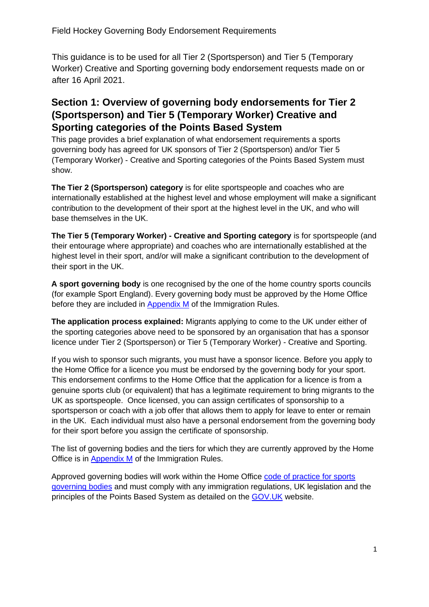Field Hockey Governing Body Endorsement Requirements

This guidance is to be used for all Tier 2 (Sportsperson) and Tier 5 (Temporary Worker) Creative and Sporting governing body endorsement requests made on or after 16 April 2021.

## **Section 1: Overview of governing body endorsements for Tier 2 (Sportsperson) and Tier 5 (Temporary Worker) Creative and Sporting categories of the Points Based System**

This page provides a brief explanation of what endorsement requirements a sports governing body has agreed for UK sponsors of Tier 2 (Sportsperson) and/or Tier 5 (Temporary Worker) - Creative and Sporting categories of the Points Based System must show.

**The Tier 2 (Sportsperson) category** is for elite sportspeople and coaches who are internationally established at the highest level and whose employment will make a significant contribution to the development of their sport at the highest level in the UK, and who will base themselves in the UK.

**The Tier 5 (Temporary Worker) - Creative and Sporting category** is for sportspeople (and their entourage where appropriate) and coaches who are internationally established at the highest level in their sport, and/or will make a significant contribution to the development of their sport in the UK.

**A sport governing body** is one recognised by the one of the home country sports councils (for example Sport England). Every governing body must be approved by the Home Office before they are included in [Appendix M](https://www.gov.uk/guidance/immigration-rules/immigration-rules-appendix-m-sports-governing-bodies) of the Immigration Rules.

**The application process explained:** Migrants applying to come to the UK under either of the sporting categories above need to be sponsored by an organisation that has a sponsor licence under Tier 2 (Sportsperson) or Tier 5 (Temporary Worker) - Creative and Sporting.

If you wish to sponsor such migrants, you must have a sponsor licence. Before you apply to the Home Office for a licence you must be endorsed by the governing body for your sport. This endorsement confirms to the Home Office that the application for a licence is from a genuine sports club (or equivalent) that has a legitimate requirement to bring migrants to the UK as sportspeople. Once licensed, you can assign certificates of sponsorship to a sportsperson or coach with a job offer that allows them to apply for leave to enter or remain in the UK. Each individual must also have a personal endorsement from the governing body for their sport before you assign the certificate of sponsorship.

The list of governing bodies and the tiers for which they are currently approved by the Home Office is in [Appendix M](https://www.gov.uk/guidance/immigration-rules/immigration-rules-appendix-m-sports-governing-bodies) [o](https://www.gov.uk/government/uploads/system/uploads/attachment_data/file/370986/20141106_immigration_rules_appendix_m_final.pdf)f the Immigration Rules.

Approved governing bodies will work within the Home Office [code of practice for sports](https://www.gov.uk/government/uploads/system/uploads/attachment_data/file/257342/sportingcodeofpractice.pdf) [governing bodies](https://www.gov.uk/government/uploads/system/uploads/attachment_data/file/257342/sportingcodeofpractice.pdf) and must comply with any immigration regulations, UK legislation and the principles of the Points Based System as detailed on the **GOV.UK** website.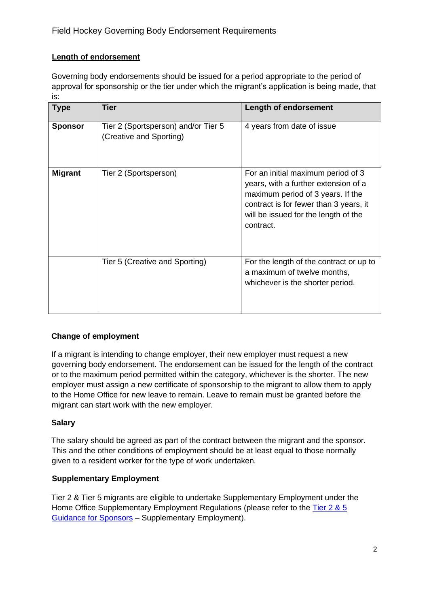### **Length of endorsement**

Governing body endorsements should be issued for a period appropriate to the period of approval for sponsorship or the tier under which the migrant's application is being made, that is:

| <b>Type</b>    | <b>Tier</b>                                                    | <b>Length of endorsement</b>                                                                                                                                                                                   |
|----------------|----------------------------------------------------------------|----------------------------------------------------------------------------------------------------------------------------------------------------------------------------------------------------------------|
| <b>Sponsor</b> | Tier 2 (Sportsperson) and/or Tier 5<br>(Creative and Sporting) | 4 years from date of issue                                                                                                                                                                                     |
| <b>Migrant</b> | Tier 2 (Sportsperson)                                          | For an initial maximum period of 3<br>years, with a further extension of a<br>maximum period of 3 years. If the<br>contract is for fewer than 3 years, it<br>will be issued for the length of the<br>contract. |
|                | Tier 5 (Creative and Sporting)                                 | For the length of the contract or up to<br>a maximum of twelve months,<br>whichever is the shorter period.                                                                                                     |

### **Change of employment**

If a migrant is intending to change employer, their new employer must request a new governing body endorsement. The endorsement can be issued for the length of the contract or to the maximum period permitted within the category, whichever is the shorter. The new employer must assign a new certificate of sponsorship to the migrant to allow them to apply to the Home Office for new leave to remain. Leave to remain must be granted before the migrant can start work with the new employer.

### **Salary**

The salary should be agreed as part of the contract between the migrant and the sponsor. This and the other conditions of employment should be at least equal to those normally given to a resident worker for the type of work undertaken.

#### **Supplementary Employment**

Tier 2 & Tier 5 migrants are eligible to undertake Supplementary Employment under the Home Office Supplementary Employment Regulations (please refer to the [Tier 2 & 5](https://www.gov.uk/government/publications/sponsor-a-tier-2-or-5-worker-guidance-for-employers) [Guidance for Sponsors](https://www.gov.uk/government/publications/sponsor-a-tier-2-or-5-worker-guidance-for-employers) [–](https://www.gov.uk/government/publications/sponsor-a-tier-2-or-5-worker-guidance-for-employers) Supplementary Employment).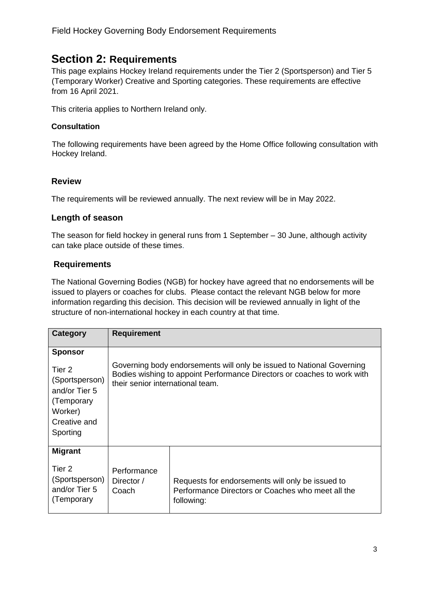# **Section 2: Requirements**

This page explains Hockey Ireland requirements under the Tier 2 (Sportsperson) and Tier 5 (Temporary Worker) Creative and Sporting categories. These requirements are effective from 16 April 2021.

This criteria applies to Northern Ireland only.

#### **Consultation**

The following requirements have been agreed by the Home Office following consultation with Hockey Ireland.

#### **Review**

The requirements will be reviewed annually. The next review will be in May 2022.

#### **Length of season**

The season for field hockey in general runs from 1 September – 30 June, although activity can take place outside of these times.

#### **Requirements**

The National Governing Bodies (NGB) for hockey have agreed that no endorsements will be issued to players or coaches for clubs. Please contact the relevant NGB below for more information regarding this decision. This decision will be reviewed annually in light of the structure of non-international hockey in each country at that time.

| Category                                                                                                         | <b>Requirement</b>                                                                                                                                                                   |                                                                                                                     |
|------------------------------------------------------------------------------------------------------------------|--------------------------------------------------------------------------------------------------------------------------------------------------------------------------------------|---------------------------------------------------------------------------------------------------------------------|
| <b>Sponsor</b><br>Tier 2<br>(Sportsperson)<br>and/or Tier 5<br>(Temporary<br>Worker)<br>Creative and<br>Sporting | Governing body endorsements will only be issued to National Governing<br>Bodies wishing to appoint Performance Directors or coaches to work with<br>their senior international team. |                                                                                                                     |
| <b>Migrant</b><br>Tier 2<br>(Sportsperson)<br>and/or Tier 5<br>(Temporary                                        | Performance<br>Director /<br>Coach                                                                                                                                                   | Requests for endorsements will only be issued to<br>Performance Directors or Coaches who meet all the<br>following: |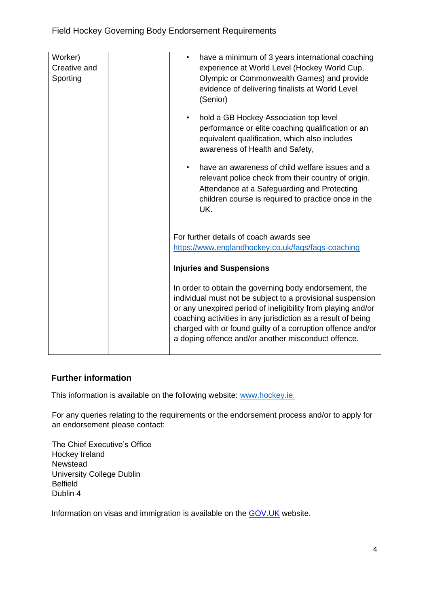| Worker)<br>Creative and<br>Sporting | have a minimum of 3 years international coaching<br>$\bullet$<br>experience at World Level (Hockey World Cup,<br>Olympic or Commonwealth Games) and provide<br>evidence of delivering finalists at World Level<br>(Senior)                                                                                                                                                 |
|-------------------------------------|----------------------------------------------------------------------------------------------------------------------------------------------------------------------------------------------------------------------------------------------------------------------------------------------------------------------------------------------------------------------------|
|                                     | hold a GB Hockey Association top level<br>$\bullet$<br>performance or elite coaching qualification or an<br>equivalent qualification, which also includes<br>awareness of Health and Safety,                                                                                                                                                                               |
|                                     | have an awareness of child welfare issues and a<br>$\bullet$<br>relevant police check from their country of origin.<br>Attendance at a Safeguarding and Protecting<br>children course is required to practice once in the<br>UK.                                                                                                                                           |
|                                     | For further details of coach awards see                                                                                                                                                                                                                                                                                                                                    |
|                                     | https://www.englandhockey.co.uk/faqs/faqs-coaching                                                                                                                                                                                                                                                                                                                         |
|                                     | <b>Injuries and Suspensions</b>                                                                                                                                                                                                                                                                                                                                            |
|                                     | In order to obtain the governing body endorsement, the<br>individual must not be subject to a provisional suspension<br>or any unexpired period of ineligibility from playing and/or<br>coaching activities in any jurisdiction as a result of being<br>charged with or found guilty of a corruption offence and/or<br>a doping offence and/or another misconduct offence. |

### **Further information**

This information is available on the following website: [www.hockey.ie.](http://www.hockey.ie./)

For any queries relating to the requirements or the endorsement process and/or to apply for an endorsement please contact:

The Chief Executive's Office Hockey Ireland Newstead University College Dublin Belfield Dublin 4

Information on visas and immigration is available on the **GOV.UK** website.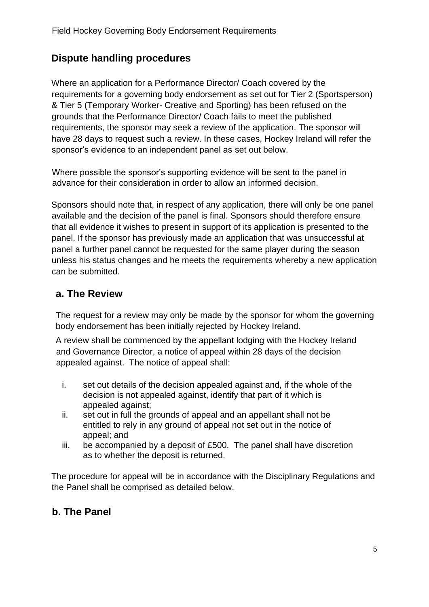# **Dispute handling procedures**

Where an application for a Performance Director/ Coach covered by the requirements for a governing body endorsement as set out for Tier 2 (Sportsperson) & Tier 5 (Temporary Worker- Creative and Sporting) has been refused on the grounds that the Performance Director/ Coach fails to meet the published requirements, the sponsor may seek a review of the application. The sponsor will have 28 days to request such a review. In these cases, Hockey Ireland will refer the sponsor's evidence to an independent panel as set out below.

Where possible the sponsor's supporting evidence will be sent to the panel in advance for their consideration in order to allow an informed decision.

Sponsors should note that, in respect of any application, there will only be one panel available and the decision of the panel is final. Sponsors should therefore ensure that all evidence it wishes to present in support of its application is presented to the panel. If the sponsor has previously made an application that was unsuccessful at panel a further panel cannot be requested for the same player during the season unless his status changes and he meets the requirements whereby a new application can be submitted.

## **a. The Review**

The request for a review may only be made by the sponsor for whom the governing body endorsement has been initially rejected by Hockey Ireland.

A review shall be commenced by the appellant lodging with the Hockey Ireland and Governance Director, a notice of appeal within 28 days of the decision appealed against. The notice of appeal shall:

- i. set out details of the decision appealed against and, if the whole of the decision is not appealed against, identify that part of it which is appealed against;
- ii. set out in full the grounds of appeal and an appellant shall not be entitled to rely in any ground of appeal not set out in the notice of appeal; and
- iii. be accompanied by a deposit of £500. The panel shall have discretion as to whether the deposit is returned.

The procedure for appeal will be in accordance with the Disciplinary Regulations and the Panel shall be comprised as detailed below.

# **b. The Panel**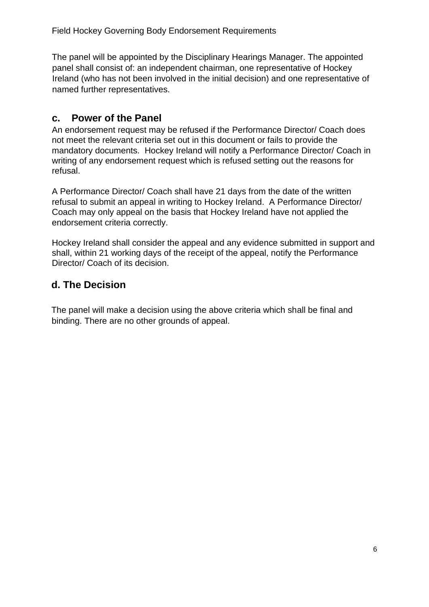The panel will be appointed by the Disciplinary Hearings Manager. The appointed panel shall consist of: an independent chairman, one representative of Hockey Ireland (who has not been involved in the initial decision) and one representative of named further representatives.

## **c. Power of the Panel**

An endorsement request may be refused if the Performance Director/ Coach does not meet the relevant criteria set out in this document or fails to provide the mandatory documents. Hockey Ireland will notify a Performance Director/ Coach in writing of any endorsement request which is refused setting out the reasons for refusal.

A Performance Director/ Coach shall have 21 days from the date of the written refusal to submit an appeal in writing to Hockey Ireland. A Performance Director/ Coach may only appeal on the basis that Hockey Ireland have not applied the endorsement criteria correctly.

Hockey Ireland shall consider the appeal and any evidence submitted in support and shall, within 21 working days of the receipt of the appeal, notify the Performance Director/ Coach of its decision.

## **d. The Decision**

The panel will make a decision using the above criteria which shall be final and binding. There are no other grounds of appeal.